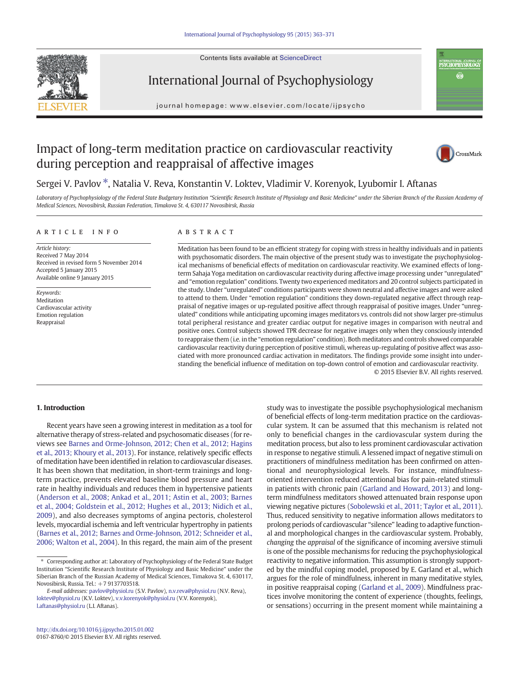Contents lists available at ScienceDirect

# International Journal of Psychophysiology

journal homepage:<www.elsevier.com/locate/ijpsycho>

# Impact of long-term meditation practice on cardiovascular reactivity during perception and reappraisal of affective images



nternational journal of<br>**PSYCHOPHYSIOLOGY** Ö

# Sergei V. Pavlov \*, Natalia V. Reva, Konstantin V. Loktev, Vladimir V. Korenyok, Lyubomir I. Aftanas

Laboratory of Psychophysiology of the Federal State Budgetary Institution "Scientific Research Institute of Physiology and Basic Medicine" under the Siberian Branch of the Russian Academy of Medical Sciences, Novosibirsk, Russian Federation, Timakova St. 4, 630117 Novosibirsk, Russia

# article info abstract

Article history: Received 7 May 2014 Received in revised form 5 November 2014 Accepted 5 January 2015 Available online 9 January 2015

Keywords: Meditation Cardiovascular activity Emotion regulation Reappraisal

Meditation has been found to be an efficient strategy for coping with stress in healthy individuals and in patients with psychosomatic disorders. The main objective of the present study was to investigate the psychophysiological mechanisms of beneficial effects of meditation on cardiovascular reactivity. We examined effects of longterm Sahaja Yoga meditation on cardiovascular reactivity during affective image processing under "unregulated" and "emotion regulation" conditions. Twenty two experienced meditators and 20 control subjects participated in the study. Under "unregulated" conditions participants were shown neutral and affective images and were asked to attend to them. Under "emotion regulation" conditions they down-regulated negative affect through reappraisal of negative images or up-regulated positive affect through reappraisal of positive images. Under "unregulated" conditions while anticipating upcoming images meditators vs. controls did not show larger pre-stimulus total peripheral resistance and greater cardiac output for negative images in comparison with neutral and positive ones. Control subjects showed TPR decrease for negative images only when they consciously intended to reappraise them (i.e. in the "emotion regulation" condition). Both meditators and controls showed comparable cardiovascular reactivity during perception of positive stimuli, whereas up-regulating of positive affect was associated with more pronounced cardiac activation in meditators. The findings provide some insight into understanding the beneficial influence of meditation on top-down control of emotion and cardiovascular reactivity. © 2015 Elsevier B.V. All rights reserved.

# 1. Introduction

Recent years have seen a growing interest in meditation as a tool for alternative therapy of stress-related and psychosomatic diseases (for reviews see [Barnes and Orme-Johnson, 2012; Chen et al., 2012; Hagins](#page-6-0) [et al., 2013; Khoury et al., 2013\)](#page-6-0). For instance, relatively specific effects of meditation have been identified in relation to cardiovascular diseases. It has been shown that meditation, in short-term trainings and longterm practice, prevents elevated baseline blood pressure and heart rate in healthy individuals and reduces them in hypertensive patients [\(Anderson et al., 2008; Ankad et al., 2011; Astin et al., 2003; Barnes](#page-6-0) [et al., 2004; Goldstein et al., 2012; Hughes et al., 2013; Nidich et al.,](#page-6-0) [2009\)](#page-6-0), and also decreases symptoms of angina pectoris, cholesterol levels, myocardial ischemia and left ventricular hypertrophy in patients [\(Barnes et al., 2012; Barnes and Orme-Johnson, 2012; Schneider et al.,](#page-7-0) [2006; Walton et al., 2004\)](#page-7-0). In this regard, the main aim of the present study was to investigate the possible psychophysiological mechanism of beneficial effects of long-term meditation practice on the cardiovascular system. It can be assumed that this mechanism is related not only to beneficial changes in the cardiovascular system during the meditation process, but also to less prominent cardiovascular activation in response to negative stimuli. A lessened impact of negative stimuli on practitioners of mindfulness meditation has been confirmed on attentional and neurophysiological levels. For instance, mindfulnessoriented intervention reduced attentional bias for pain-related stimuli in patients with chronic pain [\(Garland and Howard, 2013\)](#page-7-0) and longterm mindfulness meditators showed attenuated brain response upon viewing negative pictures ([Sobolewski et al., 2011; Taylor et al., 2011](#page-7-0)). Thus, reduced sensitivity to negative information allows meditators to prolong periods of cardiovascular "silence" leading to adaptive functional and morphological changes in the cardiovascular system. Probably, changing the appraisal of the significance of incoming aversive stimuli is one of the possible mechanisms for reducing the psychophysiological reactivity to negative information. This assumption is strongly supported by the mindful coping model, proposed by E. Garland et al., which argues for the role of mindfulness, inherent in many meditative styles, in positive reappraisal coping ([Garland et al., 2009\)](#page-7-0). Mindfulness practices involve monitoring the content of experience (thoughts, feelings, or sensations) occurring in the present moment while maintaining a

<sup>⁎</sup> Corresponding author at: Laboratory of Psychophysiology of the Federal State Budget Institution "Scientific Research Institute of Physiology and Basic Medicine" under the Siberian Branch of the Russian Academy of Medical Sciences, Timakova St. 4, 630117, Novosibirsk, Russia. Tel.: +7 9137703518.

E-mail addresses: [pavlov@physiol.ru](mailto:pavlov@physiol.ru) (S.V. Pavlov), [n.v.reva@physiol.ru](mailto:n.v.reva@physiol.ru) (N.V. Reva), [loktev@physiol.ru](mailto:loktev@physiol.ru) (K.V. Loktev), [v.v.korenyok@physiol.ru](mailto:v.v.korenyok@physiol.ru) (V.V. Korenyok), [l.aftanas@physiol.ru](mailto:l.aftanas@physiol.ru) (L.I. Aftanas).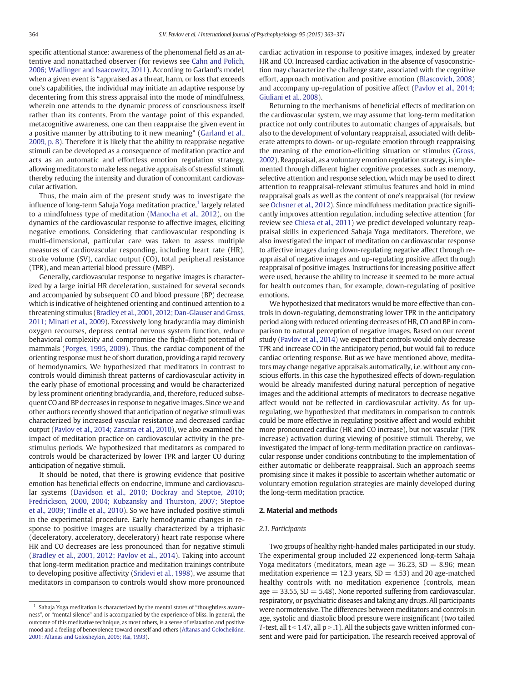specific attentional stance: awareness of the phenomenal field as an attentive and nonattached observer (for reviews see [Cahn and Polich,](#page-7-0) [2006; Wadlinger and Isaacowitz, 2011](#page-7-0)). According to Garland's model, when a given event is "appraised as a threat, harm, or loss that exceeds one's capabilities, the individual may initiate an adaptive response by decentering from this stress appraisal into the mode of mindfulness, wherein one attends to the dynamic process of consciousness itself rather than its contents. From the vantage point of this expanded, metacognitive awareness, one can then reappraise the given event in a positive manner by attributing to it new meaning" ([Garland et al.,](#page-7-0) [2009, p. 8\)](#page-7-0). Therefore it is likely that the ability to reappraise negative stimuli can be developed as a consequence of meditation practice and acts as an automatic and effortless emotion regulation strategy, allowing meditators to make less negative appraisals of stressful stimuli, thereby reducing the intensity and duration of concomitant cardiovascular activation.

Thus, the main aim of the present study was to investigate the influence of long-term Sahaja Yoga meditation practice,<sup>1</sup> largely related to a mindfulness type of meditation ([Manocha et al., 2012\)](#page-7-0), on the dynamics of the cardiovascular response to affective images, eliciting negative emotions. Considering that cardiovascular responding is multi-dimensional, particular care was taken to assess multiple measures of cardiovascular responding, including heart rate (HR), stroke volume (SV), cardiac output (CO), total peripheral resistance (TPR), and mean arterial blood pressure (MBP).

Generally, cardiovascular response to negative images is characterized by a large initial HR deceleration, sustained for several seconds and accompanied by subsequent CO and blood pressure (BP) decrease, which is indicative of heightened orienting and continued attention to a threatening stimulus [\(Bradley et al., 2001, 2012; Dan-Glauser and Gross,](#page-7-0) [2011; Minati et al., 2009\)](#page-7-0). Excessively long bradycardia may diminish oxygen recourses, depress central nervous system function, reduce behavioral complexity and compromise the fight–flight potential of mammals ([Porges, 1995, 2009\)](#page-7-0). Thus, the cardiac component of the orienting response must be of short duration, providing a rapid recovery of hemodynamics. We hypothesized that meditators in contrast to controls would diminish threat patterns of cardiovascular activity in the early phase of emotional processing and would be characterized by less prominent orienting bradycardia, and, therefore, reduced subsequent CO and BP decreases in response to negative images. Since we and other authors recently showed that anticipation of negative stimuli was characterized by increased vascular resistance and decreased cardiac output [\(Pavlov et al., 2014; Zanstra et al., 2010\)](#page-7-0), we also examined the impact of meditation practice on cardiovascular activity in the prestimulus periods. We hypothesized that meditators as compared to controls would be characterized by lower TPR and larger CO during anticipation of negative stimuli.

It should be noted, that there is growing evidence that positive emotion has beneficial effects on endocrine, immune and cardiovascular systems ([Davidson et al., 2010; Dockray and Steptoe, 2010;](#page-7-0) [Fredrickson, 2000, 2004; Kubzansky and Thurston, 2007; Steptoe](#page-7-0) [et al., 2009; Tindle et al., 2010](#page-7-0)). So we have included positive stimuli in the experimental procedure. Early hemodynamic changes in response to positive images are usually characterized by a triphasic (deceleratory, acceleratory, deceleratory) heart rate response where HR and CO decreases are less pronounced than for negative stimuli [\(Bradley et al., 2001, 2012; Pavlov et al., 2014\)](#page-7-0). Taking into account that long-term meditation practice and meditation trainings contribute to developing positive affectivity ([Sridevi et al., 1998](#page-7-0)), we assume that meditators in comparison to controls would show more pronounced cardiac activation in response to positive images, indexed by greater HR and CO. Increased cardiac activation in the absence of vasoconstriction may characterize the challenge state, associated with the cognitive effort, approach motivation and positive emotion [\(Blascovich, 2008](#page-7-0)) and accompany up-regulation of positive affect ([Pavlov et al., 2014;](#page-7-0) [Giuliani et al., 2008](#page-7-0)).

Returning to the mechanisms of beneficial effects of meditation on the cardiovascular system, we may assume that long-term meditation practice not only contributes to automatic changes of appraisals, but also to the development of voluntary reappraisal, associated with deliberate attempts to down- or up-regulate emotion through reappraising the meaning of the emotion-eliciting situation or stimulus [\(Gross,](#page-7-0) [2002\)](#page-7-0). Reappraisal, as a voluntary emotion regulation strategy, is implemented through different higher cognitive processes, such as memory, selective attention and response selection, which may be used to direct attention to reappraisal-relevant stimulus features and hold in mind reappraisal goals as well as the content of one's reappraisal (for review see [Ochsner et al., 2012](#page-7-0)). Since mindfulness meditation practice significantly improves attention regulation, including selective attention (for review see [Chiesa et al., 2011\)](#page-7-0) we predict developed voluntary reappraisal skills in experienced Sahaja Yoga meditators. Therefore, we also investigated the impact of meditation on cardiovascular response to affective images during down-regulating negative affect through reappraisal of negative images and up-regulating positive affect through reappraisal of positive images. Instructions for increasing positive affect were used, because the ability to increase it seemed to be more actual for health outcomes than, for example, down-regulating of positive emotions.

We hypothesized that meditators would be more effective than controls in down-regulating, demonstrating lower TPR in the anticipatory period along with reduced orienting decreases of HR, CO and BP in comparison to natural perception of negative images. Based on our recent study ([Pavlov et al., 2014](#page-7-0)) we expect that controls would only decrease TPR and increase CO in the anticipatory period, but would fail to reduce cardiac orienting response. But as we have mentioned above, meditators may change negative appraisals automatically, i.e. without any conscious efforts. In this case the hypothesized effects of down-regulation would be already manifested during natural perception of negative images and the additional attempts of meditators to decrease negative affect would not be reflected in cardiovascular activity. As for upregulating, we hypothesized that meditators in comparison to controls could be more effective in regulating positive affect and would exhibit more pronounced cardiac (HR and CO increase), but not vascular (TPR increase) activation during viewing of positive stimuli. Thereby, we investigated the impact of long-term meditation practice on cardiovascular response under conditions contributing to the implementation of either automatic or deliberate reappraisal. Such an approach seems promising since it makes it possible to ascertain whether automatic or voluntary emotion regulation strategies are mainly developed during the long-term meditation practice.

# 2. Material and methods

#### 2.1. Participants

Two groups of healthy right-handed males participated in our study. The experimental group included 22 experienced long-term Sahaja Yoga meditators (meditators, mean age  $=$  36.23, SD  $=$  8.96; mean meditation experience  $= 12.3$  years,  $SD = 4.53$ ) and 20 age-matched healthy controls with no meditation experience (controls, mean  $age = 33.55$ ,  $SD = 5.48$ ). None reported suffering from cardiovascular, respiratory, or psychiatric diseases and taking any drugs. All participants were normotensive. The differences between meditators and controls in age, systolic and diastolic blood pressure were insignificant (two tailed T-test, all  $t < 1.47$ , all  $p > 0.1$ . All the subjects gave written informed consent and were paid for participation. The research received approval of

 $1$  Sahaja Yoga meditation is characterized by the mental states of "thoughtless awareness", or "mental silence" and is accompanied by the experience of bliss. In general, the outcome of this meditative technique, as most others, is a sense of relaxation and positive mood and a feeling of benevolence toward oneself and others ([Aftanas and Golocheikine,](#page-6-0) [2001; Aftanas and Golosheykin, 2005; Rai, 1993](#page-6-0)).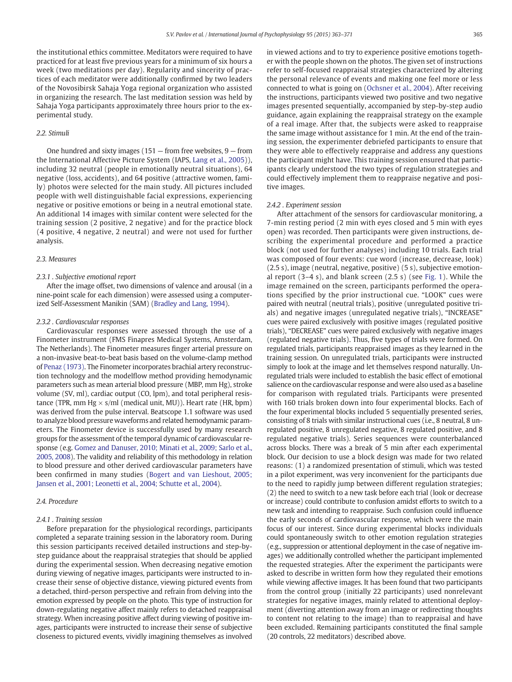the institutional ethics committee. Meditators were required to have practiced for at least five previous years for a minimum of six hours a week (two meditations per day). Regularity and sincerity of practices of each meditator were additionally confirmed by two leaders of the Novosibirsk Sahaja Yoga regional organization who assisted in organizing the research. The last meditation session was held by Sahaja Yoga participants approximately three hours prior to the experimental study.

# 2.2. Stimuli

One hundred and sixty images  $(151 -$  from free websites,  $9 -$  from the International Affective Picture System (IAPS, [Lang et al., 2005\)](#page-7-0)), including 32 neutral (people in emotionally neutral situations), 64 negative (loss, accidents), and 64 positive (attractive women, family) photos were selected for the main study. All pictures included people with well distinguishable facial expressions, experiencing negative or positive emotions or being in a neutral emotional state. An additional 14 images with similar content were selected for the training session (2 positive, 2 negative) and for the practice block (4 positive, 4 negative, 2 neutral) and were not used for further analysis.

# 2.3. Measures

# 2.3.1 . Subjective emotional report

After the image offset, two dimensions of valence and arousal (in a nine-point scale for each dimension) were assessed using a computerized Self-Assessment Manikin (SAM) [\(Bradley and Lang, 1994\)](#page-7-0).

# 2.3.2 . Cardiovascular responses

Cardiovascular responses were assessed through the use of a Finometer instrument (FMS Finapres Medical Systems, Amsterdam, The Netherlands). The Finometer measures finger arterial pressure on a non-invasive beat-to-beat basis based on the volume-clamp method of [Penaz \(1973\)](#page-7-0). The Finometer incorporates brachial artery reconstruction technology and the modelflow method providing hemodynamic parameters such as mean arterial blood pressure (MBP, mm Hg), stroke volume (SV, ml), cardiac output (CO, lpm), and total peripheral resistance (TPR, mm  $Hg \times s/ml$  (medical unit, MU)). Heart rate (HR, bpm) was derived from the pulse interval. Beatscope 1.1 software was used to analyze blood pressure waveforms and related hemodynamic parameters. The Finometer device is successfully used by many research groups for the assessment of the temporal dynamic of cardiovascular response (e.g. [Gomez and Danuser, 2010; Minati et al., 2009; Sarlo et al.,](#page-7-0) [2005, 2008\)](#page-7-0). The validity and reliability of this methodology in relation to blood pressure and other derived cardiovascular parameters have been confirmed in many studies ([Bogert and van Lieshout, 2005;](#page-7-0) [Jansen et al., 2001; Leonetti et al., 2004; Schutte et al., 2004\)](#page-7-0).

# 2.4. Procedure

#### 2.4.1 . Training session

Before preparation for the physiological recordings, participants completed a separate training session in the laboratory room. During this session participants received detailed instructions and step-bystep guidance about the reappraisal strategies that should be applied during the experimental session. When decreasing negative emotion during viewing of negative images, participants were instructed to increase their sense of objective distance, viewing pictured events from a detached, third-person perspective and refrain from delving into the emotion expressed by people on the photo. This type of instruction for down-regulating negative affect mainly refers to detached reappraisal strategy. When increasing positive affect during viewing of positive images, participants were instructed to increase their sense of subjective closeness to pictured events, vividly imagining themselves as involved in viewed actions and to try to experience positive emotions together with the people shown on the photos. The given set of instructions refer to self-focused reappraisal strategies characterized by altering the personal relevance of events and making one feel more or less connected to what is going on ([Ochsner et al., 2004\)](#page-7-0). After receiving the instructions, participants viewed two positive and two negative images presented sequentially, accompanied by step-by-step audio guidance, again explaining the reappraisal strategy on the example of a real image. After that, the subjects were asked to reappraise the same image without assistance for 1 min. At the end of the training session, the experimenter debriefed participants to ensure that they were able to effectively reappraise and address any questions the participant might have. This training session ensured that participants clearly understood the two types of regulation strategies and could effectively implement them to reappraise negative and positive images.

# 2.4.2 . Experiment session

After attachment of the sensors for cardiovascular monitoring, a 7-min resting period (2 min with eyes closed and 5 min with eyes open) was recorded. Then participants were given instructions, describing the experimental procedure and performed a practice block (not used for further analyses) including 10 trials. Each trial was composed of four events: cue word (increase, decrease, look) (2.5 s), image (neutral, negative, positive) (5 s), subjective emotional report (3–4 s), and blank screen (2.5 s) (see [Fig. 1](#page-3-0)). While the image remained on the screen, participants performed the operations specified by the prior instructional cue. "LOOK" cues were paired with neutral (neutral trials), positive (unregulated positive trials) and negative images (unregulated negative trials), "INCREASE" cues were paired exclusively with positive images (regulated positive trials), "DECREASE" cues were paired exclusively with negative images (regulated negative trials). Thus, five types of trials were formed. On regulated trials, participants reappraised images as they learned in the training session. On unregulated trials, participants were instructed simply to look at the image and let themselves respond naturally. Unregulated trials were included to establish the basic effect of emotional salience on the cardiovascular response and were also used as a baseline for comparison with regulated trials. Participants were presented with 160 trials broken down into four experimental blocks. Each of the four experimental blocks included 5 sequentially presented series, consisting of 8 trials with similar instructional cues (i.e., 8 neutral, 8 unregulated positive, 8 unregulated negative, 8 regulated positive, and 8 regulated negative trials). Series sequences were counterbalanced across blocks. There was a break of 5 min after each experimental block. Our decision to use a block design was made for two related reasons: (1) a randomized presentation of stimuli, which was tested in a pilot experiment, was very inconvenient for the participants due to the need to rapidly jump between different regulation strategies; (2) the need to switch to a new task before each trial (look or decrease or increase) could contribute to confusion amidst efforts to switch to a new task and intending to reappraise. Such confusion could influence the early seconds of cardiovascular response, which were the main focus of our interest. Since during experimental blocks individuals could spontaneously switch to other emotion regulation strategies (e.g., suppression or attentional deployment in the case of negative images) we additionally controlled whether the participant implemented the requested strategies. After the experiment the participants were asked to describe in written form how they regulated their emotions while viewing affective images. It has been found that two participants from the control group (initially 22 participants) used nonrelevant strategies for negative images, mainly related to attentional deployment (diverting attention away from an image or redirecting thoughts to content not relating to the image) than to reappraisal and have been excluded. Remaining participants constituted the final sample (20 controls, 22 meditators) described above.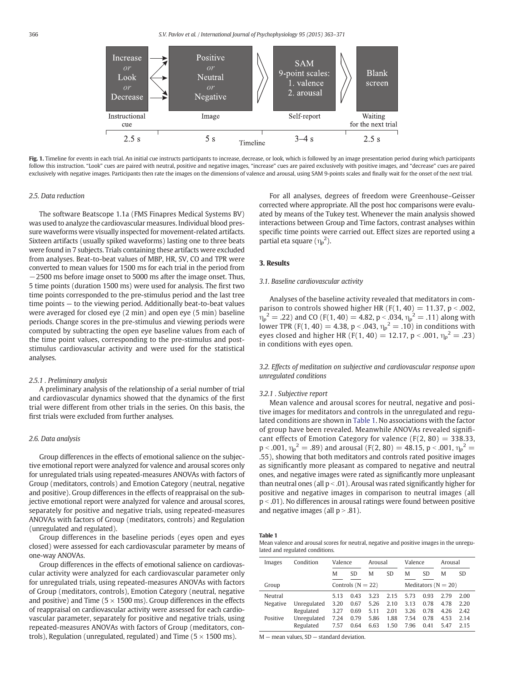<span id="page-3-0"></span>

Fig. 1. Timeline for events in each trial. An initial cue instructs participants to increase, decrease, or look, which is followed by an image presentation period during which participants follow this instruction. "Look" cues are paired with neutral, positive and negative images, "increase" cues are paired exclusively with positive images, and "decrease" cues are paired exclusively with negative images. Participants then rate the images on the dimensions of valence and arousal, using SAM 9-points scales and finally wait for the onset of the next trial.

# 2.5. Data reduction

The software Beatscope 1.1a (FMS Finapres Medical Systems BV) was used to analyze the cardiovascular measures. Individual blood pressure waveforms were visually inspected for movement-related artifacts. Sixteen artifacts (usually spiked waveforms) lasting one to three beats were found in 7 subjects. Trials containing these artifacts were excluded from analyses. Beat-to-beat values of MBP, HR, SV, CO and TPR were converted to mean values for 1500 ms for each trial in the period from −2500 ms before image onset to 5000 ms after the image onset. Thus, 5 time points (duration 1500 ms) were used for analysis. The first two time points corresponded to the pre-stimulus period and the last tree time points — to the viewing period. Additionally beat-to-beat values were averaged for closed eye (2 min) and open eye (5 min) baseline periods. Change scores in the pre-stimulus and viewing periods were computed by subtracting the open eye baseline values from each of the time point values, corresponding to the pre-stimulus and poststimulus cardiovascular activity and were used for the statistical analyses.

#### 2.5.1 . Preliminary analysis

A preliminary analysis of the relationship of a serial number of trial and cardiovascular dynamics showed that the dynamics of the first trial were different from other trials in the series. On this basis, the first trials were excluded from further analyses.

# 2.6. Data analysis

Group differences in the effects of emotional salience on the subjective emotional report were analyzed for valence and arousal scores only for unregulated trials using repeated-measures ANOVAs with factors of Group (meditators, controls) and Emotion Category (neutral, negative and positive). Group differences in the effects of reappraisal on the subjective emotional report were analyzed for valence and arousal scores, separately for positive and negative trials, using repeated-measures ANOVAs with factors of Group (meditators, controls) and Regulation (unregulated and regulated).

Group differences in the baseline periods (eyes open and eyes closed) were assessed for each cardiovascular parameter by means of one-way ANOVAs.

Group differences in the effects of emotional salience on cardiovascular activity were analyzed for each cardiovascular parameter only for unregulated trials, using repeated-measures ANOVAs with factors of Group (meditators, controls), Emotion Category (neutral, negative and positive) and Time ( $5 \times 1500$  ms). Group differences in the effects of reappraisal on cardiovascular activity were assessed for each cardiovascular parameter, separately for positive and negative trials, using repeated-measures ANOVAs with factors of Group (meditators, controls), Regulation (unregulated, regulated) and Time ( $5 \times 1500$  ms).

For all analyses, degrees of freedom were Greenhouse–Geisser corrected where appropriate. All the post hoc comparisons were evaluated by means of the Tukey test. Whenever the main analysis showed interactions between Group and Time factors, contrast analyses within specific time points were carried out. Effect sizes are reported using a partial eta square  $(\eta_p^2)$ .

# 3. Results

# 3.1. Baseline cardiovascular activity

Analyses of the baseline activity revealed that meditators in comparison to controls showed higher HR (F(1, 40) = 11.37, p < .002,  $\eta_p^2 = .22$ ) and CO (F(1, 40) = 4.82, p < .034,  $\eta_p^2 = .11$ ) along with lower TPR (F(1, 40) = 4.38, p < .043,  $\eta_p^2 = .10$ ) in conditions with eyes closed and higher HR (F(1, 40) = 12.17, p < .001,  $\eta_p^2 = .23$ ) in conditions with eyes open.

3.2. Effects of meditation on subjective and cardiovascular response upon unregulated conditions

#### 3.2.1 . Subjective report

Mean valence and arousal scores for neutral, negative and positive images for meditators and controls in the unregulated and regulated conditions are shown in Table 1. No associations with the factor of group have been revealed. Meanwhile ANOVAs revealed significant effects of Emotion Category for valence  $(F(2, 80) = 338.33,$ p < .001,  $\eta_p^2 =$  .89) and arousal (F(2, 80) = 48.15, p < .001,  $\eta_p^2 =$ .55), showing that both meditators and controls rated positive images as significantly more pleasant as compared to negative and neutral ones, and negative images were rated as significantly more unpleasant than neutral ones (all  $p < .01$ ). Arousal was rated significantly higher for positive and negative images in comparison to neutral images (all  $p < .01$ ). No differences in arousal ratings were found between positive and negative images (all  $p > .81$ ).

Table 1

Mean valence and arousal scores for neutral, negative and positive images in the unregulated and regulated conditions.

| Images   | Condition   | Valence<br>Arousal    |           | Valence |                         | Arousal |           |      |      |
|----------|-------------|-----------------------|-----------|---------|-------------------------|---------|-----------|------|------|
|          |             | М                     | <b>SD</b> | M       | <b>SD</b>               | М       | <b>SD</b> | M    | SD.  |
| Group    |             | Controls ( $N = 22$ ) |           |         | Meditators ( $N = 20$ ) |         |           |      |      |
| Neutral  |             | 5.13                  | 0.43      | 3.23    | 2.15                    | 5.73    | 0.93      | 2.79 | 2.00 |
| Negative | Unregulated | 3.20                  | 0.67      | 5.26    | 2.10                    | 3.13    | 0.78      | 4.78 | 2.20 |
|          | Regulated   | 3.27                  | 0.69      | 5.11    | 2.01                    | 3.26    | 0.78      | 4.26 | 2.42 |
| Positive | Unregulated | 7.24                  | 0.79      | 5.86    | 1.88                    | 7.54    | 0.78      | 4.53 | 2.14 |
|          | Regulated   | 7.57                  | 0.64      | 6.63    | 1.50                    | 7.96    | 0.41      | 5.47 | 2.15 |

M — mean values, SD — standard deviation.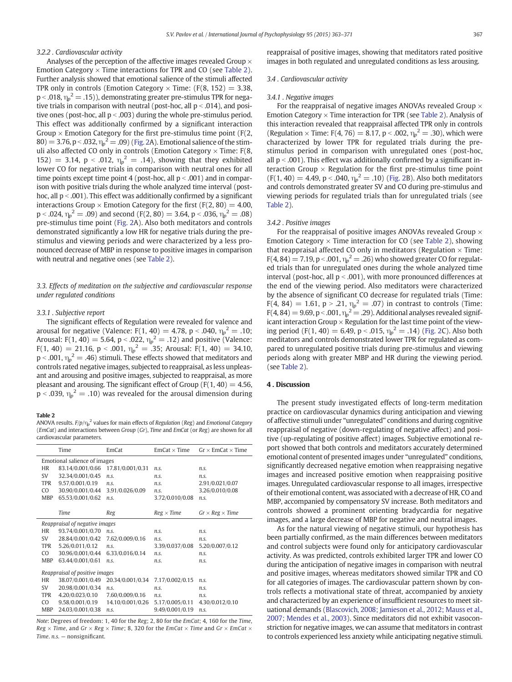# 3.2.2 . Cardiovascular activity

Analyses of the perception of the affective images revealed Group  $\times$ Emotion Category  $\times$  Time interactions for TPR and CO (see Table 2). Further analysis showed that emotional salience of the stimuli affected TPR only in controls (Emotion Category  $\times$  Time: (F(8, 152) = 3.38, p < .018,  $\eta_p^2$  = .15)), demonstrating greater pre-stimulus TPR for negative trials in comparison with neutral (post-hoc, all  $p < .014$ ), and positive ones (post-hoc, all  $p < .003$ ) during the whole pre-stimulus period. This effect was additionally confirmed by a significant interaction Group  $\times$  Emotion Category for the first pre-stimulus time point (F(2, 80)  $=$  3.76, p < .032,  $\eta_p^2$   $=$  .09) [\(Fig. 2A](#page-5-0)). Emotional salience of the stimuli also affected CO only in controls (Emotion Category  $\times$  Time: F(8, 152) = 3.14,  $p < .012$ ,  $\eta_p^2 = .14$ ), showing that they exhibited lower CO for negative trials in comparison with neutral ones for all time points except time point 4 (post-hoc, all  $p < .001$ ) and in comparison with positive trials during the whole analyzed time interval (posthoc, all  $p < .001$ ). This effect was additionally confirmed by a significant interactions Group  $\times$  Emotion Category for the first (F(2, 80) = 4.00, p < .024,  $\eta_p^2 =$  .09) and second (F(2, 80) = 3.64, p < .036,  $\eta_p^2 =$  .08) pre-stimulus time point [\(Fig. 2A](#page-5-0)). Also both meditators and controls demonstrated significantly a low HR for negative trials during the prestimulus and viewing periods and were characterized by a less pronounced decrease of MBP in response to positive images in comparison with neutral and negative ones (see Table 2).

3.3. Effects of meditation on the subjective and cardiovascular response under regulated conditions

# 3.3.1 . Subjective report

The significant effects of Regulation were revealed for valence and arousal for negative (Valence: F(1, 40) = 4.78, p < .040,  $\eta_p{}^2 =$  .10; Arousal: F(1, 40) = 5.64, p < .022,  $\eta_p^2 =$  .12) and positive (Valence:  $F(1, 40) = 21.16$ ,  $p < .001$ ,  $\eta_p^2 = .35$ ; Arousal:  $F(1, 40) = 34.10$ , p < .001,  $\eta_p^2 = .46$ ) stimuli. These effects showed that meditators and controls rated negative images, subjected to reappraisal, as less unpleasant and arousing and positive images, subjected to reappraisal, as more pleasant and arousing. The significant effect of Group ( $F(1, 40) = 4.56$ , p < .039,  $\eta_p^2 =$  .10) was revealed for the arousal dimension during

#### Table 2

ANOVA results.  $F/{p/\eta_{\rm p}}^2$  values for main effects of Regulation (Reg) and Emotional Category (EmCat) and interactions between Group (Gr), Time and EmCat (or Reg) are shown for all cardiovascular parameters.

|                                | Time             | EmCat            | $EmCat \times Time$ | $Gr \times EmCat \times Time$ |  |  |  |  |
|--------------------------------|------------------|------------------|---------------------|-------------------------------|--|--|--|--|
| Emotional salience of images   |                  |                  |                     |                               |  |  |  |  |
| HR                             | 83.14/0.001/0.66 | 17.81/0.001/0.31 | n.s.                | n.s.                          |  |  |  |  |
| SV                             | 32.34/0.001/0.45 | n.s.             | n.s.                | n.s.                          |  |  |  |  |
| <b>TPR</b>                     | 9.57/0.001/0.19  | n.s.             | n.s.                | 2.91/0.021/0.07               |  |  |  |  |
| CO.                            | 30.90/0.001/0.44 | 3.91/0.026/0.09  | n.s.                | 3.26/0.010/0.08               |  |  |  |  |
| <b>MBP</b>                     | 65.53/0.001/0.62 | n.s.             | 3.72/0.010/0.08     | n.s.                          |  |  |  |  |
|                                |                  |                  |                     |                               |  |  |  |  |
|                                | Time             | Reg              | $Reg \times Time$   | $Gr \times Reg \times Time$   |  |  |  |  |
| Reappraisal of negative images |                  |                  |                     |                               |  |  |  |  |
| HR                             | 93.74/0.001/0.70 | n.s.             | n.s.                | n.s.                          |  |  |  |  |
| SV                             | 28.84/0.001/0.42 | 7.62/0.009/0.16  | n.s.                | n.s.                          |  |  |  |  |
| <b>TPR</b>                     | 5.26/0.011/0.12  | n.s.             | 3.39/0.037/0.08     | 5.20/0.007/0.12               |  |  |  |  |
| CO.                            | 30.96/0.001/0.44 | 6.33/0.016/0.14  | n.s.                | n.s.                          |  |  |  |  |
| <b>MBP</b>                     | 63.44/0.001/0.61 | n.s.             | n.s.                | n.s.                          |  |  |  |  |
| Reappraisal of positive images |                  |                  |                     |                               |  |  |  |  |
| HR                             | 38.07/0.001/0.49 | 20.34/0.001/0.34 | 7.17/0.002/0.15     | n.s.                          |  |  |  |  |
| SV                             | 20.98/0.001/0.34 | n.s.             | n.s.                | n.s.                          |  |  |  |  |
| <b>TPR</b>                     | 4.20/0.023/0.10  | 7.60/0.009/0.16  | n.s.                | n.s.                          |  |  |  |  |
| CO                             | 9.58/0.001/0.19  | 14.10/0.001/0.26 | 5.17/0.005/0.11     | 4.30/0.012/0.10               |  |  |  |  |
| <b>MBP</b>                     | 24.03/0.001/0.38 | n.s.             | 9.49/0.001/0.19     | n.s.                          |  |  |  |  |

Note: Degrees of freedom: 1, 40 for the Reg; 2, 80 for the EmCat; 4, 160 for the Time,  $Reg \times Time$ , and  $Gr \times Reg \times Time$ ; 8, 320 for the *EmCat*  $\times$  Time and  $Gr \times EmCat \times$ Time. n.s. — nonsignificant.

reappraisal of positive images, showing that meditators rated positive images in both regulated and unregulated conditions as less arousing.

### 3.4 . Cardiovascular activity

# 3.4.1 . Negative images

For the reappraisal of negative images ANOVAs revealed Group  $\times$ Emotion Category  $\times$  Time interaction for TPR (see Table 2). Analysis of this interaction revealed that reappraisal affected TPR only in controls (Regulation  $\times$  Time: F(4, 76) = 8.17, p < .002,  $\eta_p^2 = .30$ ), which were characterized by lower TPR for regulated trials during the prestimulus period in comparison with unregulated ones (post-hoc, all  $p < .001$ ). This effect was additionally confirmed by a significant interaction Group  $\times$  Regulation for the first pre-stimulus time point  $(F(1, 40) = 4.49, p < .040, \eta_p^2 = .10)$  [\(Fig. 2B](#page-5-0)). Also both meditators and controls demonstrated greater SV and CO during pre-stimulus and viewing periods for regulated trials than for unregulated trials (see Table 2).

#### 3.4.2 . Positive images

For the reappraisal of positive images ANOVAs revealed Group  $\times$ Emotion Category  $\times$  Time interaction for CO (see Table 2), showing that reappraisal affected CO only in meditators (Regulation  $\times$  Time: F(4, 84) = 7.19, p < .001,  $\eta_p^2$  = .26) who showed greater CO for regulated trials than for unregulated ones during the whole analyzed time interval (post-hoc, all  $p < .001$ ), with more pronounced differences at the end of the viewing period. Also meditators were characterized by the absence of significant CO decrease for regulated trials (Time:  $F(4, 84) = 1.61$ ,  $p > .21$ ,  $\eta_p^2 = .07$ ) in contrast to controls (Time:  $F(4, 84) = 9.69$ , p < .001,  $\eta_p^2 = .29$ ). Additional analyses revealed significant interaction Group  $\times$  Regulation for the last time point of the viewing period (F(1, 40) = 6.49, p < .015,  $\eta_p^2 = .14$ ) ([Fig. 2](#page-5-0)C). Also both meditators and controls demonstrated lower TPR for regulated as compared to unregulated positive trials during pre-stimulus and viewing periods along with greater MBP and HR during the viewing period. (see Table 2).

# 4 . Discussion

The present study investigated effects of long-term meditation practice on cardiovascular dynamics during anticipation and viewing of affective stimuli under "unregulated" conditions and during cognitive reappraisal of negative (down-regulating of negative affect) and positive (up-regulating of positive affect) images. Subjective emotional report showed that both controls and meditators accurately determined emotional content of presented images under "unregulated" conditions, significantly decreased negative emotion when reappraising negative images and increased positive emotion when reappraising positive images. Unregulated cardiovascular response to all images, irrespective of their emotional content, was associated with a decrease of HR, CO and MBP, accompanied by compensatory SV increase. Both meditators and controls showed a prominent orienting bradycardia for negative images, and a large decrease of MBP for negative and neutral images.

As for the natural viewing of negative stimuli, our hypothesis has been partially confirmed, as the main differences between meditators and control subjects were found only for anticipatory cardiovascular activity. As was predicted, controls exhibited larger TPR and lower CO during the anticipation of negative images in comparison with neutral and positive images, whereas meditators showed similar TPR and CO for all categories of images. The cardiovascular pattern shown by controls reflects a motivational state of threat, accompanied by anxiety and characterized by an experience of insufficient resources to meet situational demands [\(Blascovich, 2008; Jamieson et al., 2012; Mauss et al.,](#page-7-0) [2007; Mendes et al., 2003\)](#page-7-0). Since meditators did not exhibit vasoconstriction for negative images, we can assume that meditators in contrast to controls experienced less anxiety while anticipating negative stimuli.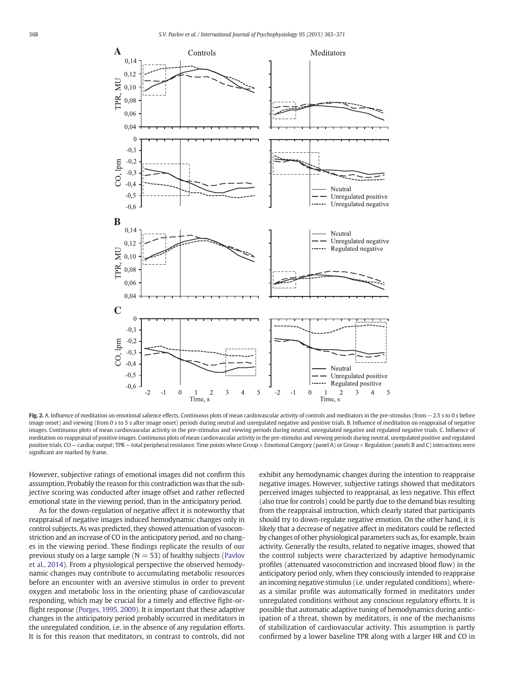<span id="page-5-0"></span>

Fig. 2. A. Influence of meditation on emotional salience effects. Continuous plots of mean cardiovascular activity of controls and meditators in the pre-stimulus (from −2.5 s to 0 s before image onset) and viewing (from 0 s to 5 s after image onset) periods during neutral and unregulated negative and positive trials. B. Influence of meditation on reappraisal of negative images. Continuous plots of mean cardiovascular activity in the pre-stimulus and viewing periods during neutral, unregulated negative and regulated negative trials. C. Influence of meditation on reappraisal of positive images. Continuous plots of mean cardiovascular activity in the pre-stimulus and viewing periods during neutral, unregulated positive and regulated positive trials. CO - cardiac output; TPR - total peripheral resistance. Time points where Group × Emotional Category (panel A) or Group × Regulation (panels B and C) interactions were significant are marked by frame.

However, subjective ratings of emotional images did not confirm this assumption. Probably the reason for this contradiction was that the subjective scoring was conducted after image offset and rather reflected emotional state in the viewing period, than in the anticipatory period.

As for the down-regulation of negative affect it is noteworthy that reappraisal of negative images induced hemodynamic changes only in control subjects. As was predicted, they showed attenuation of vasoconstriction and an increase of CO in the anticipatory period, and no changes in the viewing period. These findings replicate the results of our previous study on a large sample ( $N = 53$ ) of healthy subjects [\(Pavlov](#page-7-0) [et al., 2014](#page-7-0)). From a physiological perspective the observed hemodynamic changes may contribute to accumulating metabolic resources before an encounter with an aversive stimulus in order to prevent oxygen and metabolic loss in the orienting phase of cardiovascular responding, which may be crucial for a timely and effective fight-orflight response [\(Porges, 1995, 2009\)](#page-7-0). It is important that these adaptive changes in the anticipatory period probably occurred in meditators in the unregulated condition, i.e. in the absence of any regulation efforts. It is for this reason that meditators, in contrast to controls, did not exhibit any hemodynamic changes during the intention to reappraise negative images. However, subjective ratings showed that meditators perceived images subjected to reappraisal, as less negative. This effect (also true for controls) could be partly due to the demand bias resulting from the reappraisal instruction, which clearly stated that participants should try to down-regulate negative emotion. On the other hand, it is likely that a decrease of negative affect in meditators could be reflected by changes of other physiological parameters such as, for example, brain activity. Generally the results, related to negative images, showed that the control subjects were characterized by adaptive hemodynamic profiles (attenuated vasoconstriction and increased blood flow) in the anticipatory period only, when they consciously intended to reappraise an incoming negative stimulus (i.e. under regulated conditions), whereas a similar profile was automatically formed in meditators under unregulated conditions without any conscious regulatory efforts. It is possible that automatic adaptive tuning of hemodynamics during anticipation of a threat, shown by meditators, is one of the mechanisms of stabilization of cardiovascular activity. This assumption is partly confirmed by a lower baseline TPR along with a larger HR and CO in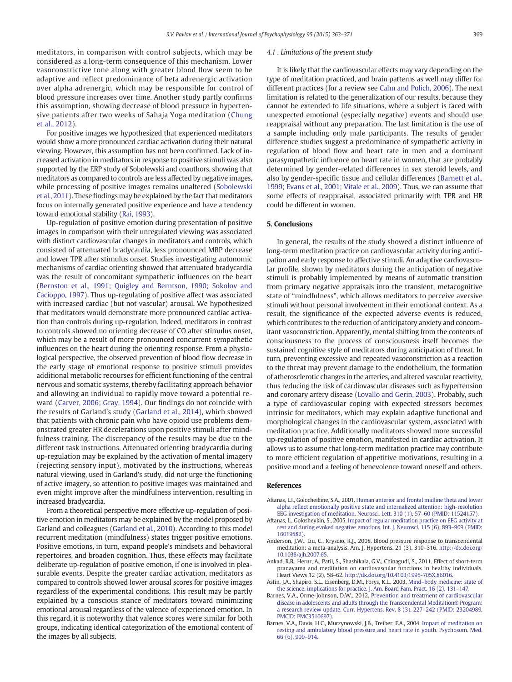<span id="page-6-0"></span>meditators, in comparison with control subjects, which may be considered as a long-term consequence of this mechanism. Lower vasoconstrictive tone along with greater blood flow seem to be adaptive and reflect predominance of beta adrenergic activation over alpha adrenergic, which may be responsible for control of blood pressure increases over time. Another study partly confirms this assumption, showing decrease of blood pressure in hypertensive patients after two weeks of Sahaja Yoga meditation ([Chung](#page-7-0) [et al., 2012\)](#page-7-0).

For positive images we hypothesized that experienced meditators would show a more pronounced cardiac activation during their natural viewing. However, this assumption has not been confirmed. Lack of increased activation in meditators in response to positive stimuli was also supported by the ERP study of Sobolewski and coauthors, showing that meditators as compared to controls are less affected by negative images, while processing of positive images remains unaltered ([Sobolewski](#page-7-0) [et al., 2011\)](#page-7-0). These findings may be explained by the fact that meditators focus on internally generated positive experience and have a tendency toward emotional stability [\(Rai, 1993\)](#page-7-0).

Up-regulation of positive emotion during presentation of positive images in comparison with their unregulated viewing was associated with distinct cardiovascular changes in meditators and controls, which consisted of attenuated bradycardia, less pronounced MBP decrease and lower TPR after stimulus onset. Studies investigating autonomic mechanisms of cardiac orienting showed that attenuated bradycardia was the result of concomitant sympathetic influences on the heart [\(Bernston et al., 1991; Quigley and Berntson, 1990; Sokolov and](#page-7-0) [Cacioppo, 1997](#page-7-0)). Thus up-regulating of positive affect was associated with increased cardiac (but not vascular) arousal. We hypothesized that meditators would demonstrate more pronounced cardiac activation than controls during up-regulation. Indeed, meditators in contrast to controls showed no orienting decrease of CO after stimulus onset, which may be a result of more pronounced concurrent sympathetic influences on the heart during the orienting response. From a physiological perspective, the observed prevention of blood flow decrease in the early stage of emotional response to positive stimuli provides additional metabolic recourses for efficient functioning of the central nervous and somatic systems, thereby facilitating approach behavior and allowing an individual to rapidly move toward a potential reward ([Carver, 2006; Gray, 1994](#page-7-0)). Our findings do not coincide with the results of Garland's study [\(Garland et al., 2014](#page-7-0)), which showed that patients with chronic pain who have opioid use problems demonstrated greater HR decelerations upon positive stimuli after mindfulness training. The discrepancy of the results may be due to the different task instructions. Attenuated orienting bradycardia during up-regulation may be explained by the activation of mental imagery (rejecting sensory input), motivated by the instructions, whereas natural viewing, used in Garland's study, did not urge the functioning of active imagery, so attention to positive images was maintained and even might improve after the mindfulness intervention, resulting in increased bradycardia.

From a theoretical perspective more effective up-regulation of positive emotion in meditators may be explained by the model proposed by Garland and colleagues [\(Garland et al., 2010\)](#page-7-0). According to this model recurrent meditation (mindfulness) states trigger positive emotions. Positive emotions, in turn, expand people's mindsets and behavioral repertoires, and broaden cognition. Thus, these effects may facilitate deliberate up-regulation of positive emotion, if one is involved in pleasurable events. Despite the greater cardiac activation, meditators as compared to controls showed lower arousal scores for positive images regardless of the experimental conditions. This result may be partly explained by a conscious stance of meditators toward minimizing emotional arousal regardless of the valence of experienced emotion. In this regard, it is noteworthy that valence scores were similar for both groups, indicating identical categorization of the emotional content of the images by all subjects.

#### 4.1 . Limitations of the present study

It is likely that the cardiovascular effects may vary depending on the type of meditation practiced, and brain patterns as well may differ for different practices (for a review see [Cahn and Polich, 2006](#page-7-0)). The next limitation is related to the generalization of our results, because they cannot be extended to life situations, where a subject is faced with unexpected emotional (especially negative) events and should use reappraisal without any preparation. The last limitation is the use of a sample including only male participants. The results of gender difference studies suggest a predominance of sympathetic activity in regulation of blood flow and heart rate in men and a dominant parasympathetic influence on heart rate in women, that are probably determined by gender-related differences in sex steroid levels, and also by gender-specific tissue and cellular differences ([Barnett et al.,](#page-7-0) [1999; Evans et al., 2001; Vitale et al., 2009](#page-7-0)). Thus, we can assume that some effects of reappraisal, associated primarily with TPR and HR could be different in women.

#### 5. Conclusions

In general, the results of the study showed a distinct influence of long-term meditation practice on cardiovascular activity during anticipation and early response to affective stimuli. An adaptive cardiovascular profile, shown by meditators during the anticipation of negative stimuli is probably implemented by means of automatic transition from primary negative appraisals into the transient, metacognitive state of "mindfulness", which allows meditators to perceive aversive stimuli without personal involvement in their emotional context. As a result, the significance of the expected adverse events is reduced, which contributes to the reduction of anticipatory anxiety and concomitant vasoconstriction. Apparently, mental shifting from the contents of consciousness to the process of consciousness itself becomes the sustained cognitive style of meditators during anticipation of threat. In turn, preventing excessive and repeated vasoconstriction as a reaction to the threat may prevent damage to the endothelium, the formation of atherosclerotic changes in the arteries, and altered vascular reactivity, thus reducing the risk of cardiovascular diseases such as hypertension and coronary artery disease [\(Lovallo and Gerin, 2003\)](#page-7-0). Probably, such a type of cardiovascular coping with expected stressors becomes intrinsic for meditators, which may explain adaptive functional and morphological changes in the cardiovascular system, associated with meditation practice. Additionally meditators showed more successful up-regulation of positive emotion, manifested in cardiac activation. It allows us to assume that long-term meditation practice may contribute to more efficient regulation of appetitive motivations, resulting in a positive mood and a feeling of benevolence toward oneself and others.

#### References

- Aftanas, L.I., Golocheikine, S.A., 2001. [Human anterior and frontal midline theta and lower](http://refhub.elsevier.com/S0167-8760(15)00014-8/rf0005) alpha refl[ect emotionally positive state and internalized attention: high-resolution](http://refhub.elsevier.com/S0167-8760(15)00014-8/rf0005) [EEG investigation of meditation. Neurosci. Lett. 310 \(1\), 57](http://refhub.elsevier.com/S0167-8760(15)00014-8/rf0005)–60 (PMID: 11524157).
- Aftanas, L., Golosheykin, S., 2005. [Impact of regular meditation practice on EEG activity at](http://refhub.elsevier.com/S0167-8760(15)00014-8/rf0010) [rest and during evoked negative emotions. Int. J. Neurosci. 115 \(6\), 893](http://refhub.elsevier.com/S0167-8760(15)00014-8/rf0010)–909 (PMID: [16019582\).](http://refhub.elsevier.com/S0167-8760(15)00014-8/rf0010)
- Anderson, J.W., Liu, C., Kryscio, R.J., 2008. Blood pressure response to transcendental meditation: a meta-analysis. Am. J. Hypertens. 21 (3), 310–316. http://dx.doi.org/ [10.1038/ajh.2007.65](http://dx.doi.org/10.1038/ajh.2007.65).
- Ankad, R.B., Herur, A., Patil, S., Shashikala, G.V., Chinagudi, S., 2011. Effect of short-term pranayama and meditation on cardiovascular functions in healthy individuals. Heart Views 12 (2), 58–62. http://dx.doi.org[/10.4103/1995-705X.86016.](http://dx.doi.org/10.4103/1995-705X.86016)
- Astin, J.A., Shapiro, S.L., Eisenberg, D.M., Forys, K.L., 2003. Mind–[body medicine: state of](http://refhub.elsevier.com/S0167-8760(15)00014-8/rf0025) [the science, implications for practice. J. Am. Board Fam. Pract. 16 \(2\), 131](http://refhub.elsevier.com/S0167-8760(15)00014-8/rf0025)–147.
- Barnes, V.A., Orme-Johnson, D.W., 2012. [Prevention and treatment of cardiovascular](http://refhub.elsevier.com/S0167-8760(15)00014-8/rf0030) [disease in adolescents and adults through the Transcendental Meditation® Program:](http://refhub.elsevier.com/S0167-8760(15)00014-8/rf0030) [a research review update. Curr. Hypertens. Rev. 8 \(3\), 227](http://refhub.elsevier.com/S0167-8760(15)00014-8/rf0030)–242 (PMID: 23204989, [PMCID: PMC3510697\)](http://refhub.elsevier.com/S0167-8760(15)00014-8/rf0030).
- Barnes, V.A., Davis, H.C., Murzynowski, J.B., Treiber, F.A., 2004. [Impact of meditation on](http://refhub.elsevier.com/S0167-8760(15)00014-8/rf0035) [resting and ambulatory blood pressure and heart rate in youth. Psychosom. Med.](http://refhub.elsevier.com/S0167-8760(15)00014-8/rf0035) [66 \(6\), 909](http://refhub.elsevier.com/S0167-8760(15)00014-8/rf0035)–914.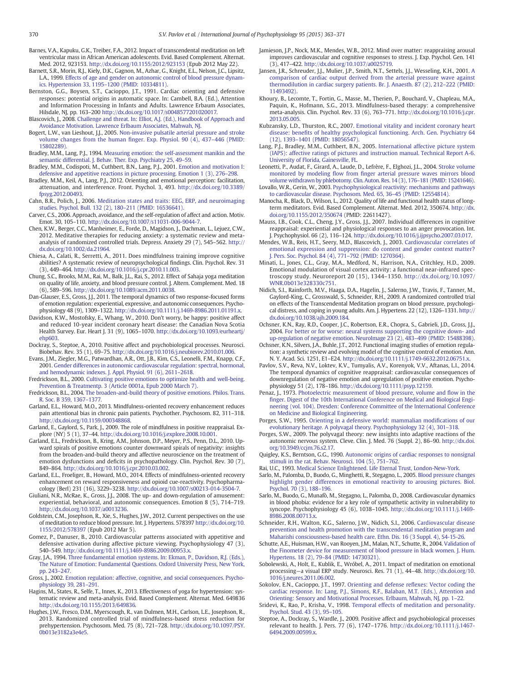- <span id="page-7-0"></span>Barnes, V.A., Kapuku, G.K., Treiber, F.A., 2012. Impact of transcendental meditation on left ventricular mass in African American adolescents. Evid. Based Complement. Alternat. Med. 2012, 923153. http://dx.doi.org/[10.1155/2012/923153](http://dx.doi.org/10.1155/2012/923153) (Epub 2012 May 22).
- Barnett, S.R., Morin, R.J., Kiely, D.K., Gagnon, M., Azhar, G., Knight, E.L., Nelson, J.C., Lipsitz, L.A., 1999. [Effects of age and gender on autonomic control of blood pressure dynam](http://refhub.elsevier.com/S0167-8760(15)00014-8/rf0045)[ics. Hypertension 33, 1195](http://refhub.elsevier.com/S0167-8760(15)00014-8/rf0045)–1200 (PMID: 10334811).
- Bernston, G.G., Boysen, S.T., Cacioppo, J.T., 1991. Cardiac orienting and defensive responses: potential origins in automatic space. In: Cambell, B.A. (Ed.), Attention and Information Processing in Infants and Adults. Lawrence Erbaum Associates, Hilsdale, NJ, pp. 163–200 http://dx.doi.org/[10.1017/s0048577201020017](http://dx.doi.org/10.1017/s0048577201020017).
- Blascovich, J., 2008. [Challenge and threat. In: Elliot, A.J. \(Ed.\), Handbook of Approach and](http://refhub.elsevier.com/S0167-8760(15)00014-8/rf0055) [Avoidance Motivation. Lawrence Erlbaum Associates, Mahwah, NJ](http://refhub.elsevier.com/S0167-8760(15)00014-8/rf0055).
- Bogert, L.W., van Lieshout, J.J., 2005. [Non-invasive pulsatile arterial pressure and stroke](http://refhub.elsevier.com/S0167-8760(15)00014-8/rf0060) [volume changes from the human](http://refhub.elsevier.com/S0167-8760(15)00014-8/rf0060) finger. Exp. Physiol. 90 (4), 437–446 (PMID: [15802289\).](http://refhub.elsevier.com/S0167-8760(15)00014-8/rf0060)
- Bradley, M.M., Lang, P.J., 1994. [Measuring emotion: the self-assessment manikin and the](http://refhub.elsevier.com/S0167-8760(15)00014-8/rf0065) [semantic differential. J. Behav. Ther. Exp. Psychiatry 25, 49](http://refhub.elsevier.com/S0167-8760(15)00014-8/rf0065)–59.
- Bradley, M.M., Codispoti, M., Cuthbert, B.N., Lang, P.J., 2001. [Emotion and motivation I:](http://refhub.elsevier.com/S0167-8760(15)00014-8/rf0070) [defensive and appetitive reactions in picture processing. Emotion 1 \(3\), 276](http://refhub.elsevier.com/S0167-8760(15)00014-8/rf0070)–298.
- Bradley, M.M., Keil, A., Lang, P.J., 2012. Orienting and emotional perception: facilitation, attenuation, and interference. Front. Psychol. 3, 493. http://dx.doi.org/[10.3389/](http://dx.doi.org/10.3389/fpsyg.2012.00493) [fpsyg.2012.00493](http://dx.doi.org/10.3389/fpsyg.2012.00493).
- Cahn, B.R., Polich, J., 2006. [Meditation states and traits: EEG, ERP, and neuroimaging](http://refhub.elsevier.com/S0167-8760(15)00014-8/rf0080) [studies. Psychol. Bull. 132 \(2\), 180](http://refhub.elsevier.com/S0167-8760(15)00014-8/rf0080)–211 (PMID: 16536641).
- Carver, C.S., 2006. Approach, avoidance, and the self-regulation of affect and action. Motiv. Emot. 30, 105–110. http://dx.doi.org[/10.1007/s11031-006-9044-7.](http://dx.doi.org/10.1007/s11031-006-9044-7)
- Chen, K.W., Berger, C.C., Manheimer, E., Forde, D., Magidson, J., Dachman, L., Lejuez, C.W., 2012. Meditative therapies for reducing anxiety: a systematic review and metaanalysis of randomized controlled trials. Depress. Anxiety 29 (7), 545–562. http:// dx.doi.org[/10.1002/da.21964.](http://dx.doi.org/10.1002/da.21964)
- Chiesa, A., Calati, R., Serretti, A., 2011. Does mindfulness training improve cognitive abilities? A systematic review of neuropsychological findings. Clin. Psychol. Rev. 31 (3), 449–464. http://dx.doi.org/[10.1016/j.cpr.2010.11.003](http://dx.doi.org/10.1016/j.cpr.2010.11.003).
- Chung, S.C., Brooks, M.M., Rai, M., Balk, J.L., Rai, S., 2012. Effect of Sahaja yoga meditation on quality of life, anxiety, and blood pressure control. J. Altern. Complement. Med. 18 (6), 589–596. http://dx.doi.org/[10.1089/acm.2011.0038.](http://dx.doi.org/10.1089/acm.2011.0038)
- Dan-Glauser, E.S., Gross, J.J., 2011. The temporal dynamics of two response-focused forms of emotion regulation: experiential, expressive, and autonomic consequences. Psychophysiology 48 (9), 1309–1322. http://dx.doi.org[/10.1111/j.1469-8986.2011.01191.x.](http://dx.doi.org/10.1111/j.1469-8986.2011.01191.x)
- Davidson, K.W., Mostofsky, E., Whang, W., 2010. Don't worry, be happy: positive affect and reduced 10-year incident coronary heart disease: the Canadian Nova Scotia Health Survey. Eur. Heart J. 31 (9), 1065–1070. http://dx.doi.org[/10.1093/eurheartj/](http://dx.doi.org/10.1093/eurheartj/ehp603) [ehp603](http://dx.doi.org/10.1093/eurheartj/ehp603).
- Dockray, S., Steptoe, A., 2010. Positive affect and psychobiological processes. Neurosci. Biobehav. Rev. 35 (1), 69–75. http://dx.doi.org/[10.1016/j.neubiorev.2010.01.006.](http://dx.doi.org/10.1016/j.neubiorev.2010.01.006)
- Evans, J.M., Ziegler, M.G., Patwardhan, A.R., Ott, J.B., Kim, C.S., Leonelli, F.M., Knapp, C.F., 2001. [Gender differences in autonomic cardiovascular regulation: spectral, hormonal,](http://refhub.elsevier.com/S0167-8760(15)00014-8/rf0120) [and hemodynamic indexes. J. Appl. Physiol. 91 \(6\), 2611](http://refhub.elsevier.com/S0167-8760(15)00014-8/rf0120)–2618.
- Fredrickson, B.L., 2000. [Cultivating positive emotions to optimize health and well-being.](http://refhub.elsevier.com/S0167-8760(15)00014-8/rf0125) [Prevention & Treatmentp. 3 \(Article 0001a, Epub 2000 March 7\)](http://refhub.elsevier.com/S0167-8760(15)00014-8/rf0125).
- Fredrickson, B.L., 2004. [The broaden-and-build theory of positive emotions. Philos. Trans.](http://refhub.elsevier.com/S0167-8760(15)00014-8/rf0130) [R. Soc. B 359, 1367](http://refhub.elsevier.com/S0167-8760(15)00014-8/rf0130)–1377.
- Garland, E.L., Howard, M.O., 2013. Mindfulness-oriented recovery enhancement reduces pain attentional bias in chronic pain patients. Psychother. Psychosom. 82, 311–318. http://dx.doi.org[/10.1159/000348868](http://dx.doi.org/10.1159/000348868).
- Garland, E., Gaylord, S., Park, J., 2009. The role of mindfulness in positive reappraisal. Explore (NY) 5 (1), 37–44. http://dx.doi.org/[10.1016/j.explore.2008.10.001](http://dx.doi.org/10.1016/j.explore.2008.10.001).
- Garland, E.L., Fredrickson, B., Kring, A.M., Johnson, D.P., Meyer, P.S., Penn, D.L., 2010. Upward spirals of positive emotions counter downward spirals of negativity: insights from the broaden-and-build theory and affective neuroscience on the treatment of emotion dysfunctions and deficits in psychopathology. Clin. Psychol. Rev. 30 (7), 849–864. http://dx.doi.org/[10.1016/j.cpr.2010.03.002.](http://dx.doi.org/10.1016/j.cpr.2010.03.002)
- Garland, E.L., Froeliger, B., Howard, M.O., 2014. Effects of mindfulness-oriented recovery enhancement on reward responsiveness and opioid cue-reactivity. Psychopharmacology (Berl) 231 (16), 3229–3238. http://dx.doi.org[/10.1007/s00213-014-3504-7](http://dx.doi.org/10.1007/s00213-014-3504-7).
- Giuliani, N.R., McRae, K., Gross, J.J., 2008. The up- and down-regulation of amusement: experiential, behavioral, and autonomic consequences. Emotion 8 (5), 714–719. http://dx.doi.org[/10.1037/a0013236](http://dx.doi.org/10.1037/a0013236).
- Goldstein, C.M., Josephson, R., Xie, S., Hughes, J.W., 2012. Current perspectives on the use of meditation to reduce blood pressure. Int. J. Hypertens. 578397 http://dx.doi.org[/10.](http://dx.doi.org/10.1155/2012/578397) [1155/2012/578397](http://dx.doi.org/10.1155/2012/578397) (Epub 2012 Mar 5).
- Gomez, P., Danuser, B., 2010. Cardiovascular patterns associated with appetitive and defensive activation during affective picture viewing. Psychophysiology 47 (3), 540–549. http://dx.doi.org/[10.1111/j.1469-8986.2009.00953.x](http://dx.doi.org/10.1111/j.1469-8986.2009.00953.x).
- Gray, J.A., 1994. [Three fundamental emotion systems. In: Ekman, P., Davidson, R.J. \(Eds.\),](http://refhub.elsevier.com/S0167-8760(15)00014-8/rf0170) [The Nature of Emotion: Fundamental Questions. Oxford University Press, New York,](http://refhub.elsevier.com/S0167-8760(15)00014-8/rf0170) [pp. 243](http://refhub.elsevier.com/S0167-8760(15)00014-8/rf0170)–247.
- Gross, J., 2002. [Emotion regulation: affective, cognitive, and social consequences. Psycho](http://refhub.elsevier.com/S0167-8760(15)00014-8/rf0175)[physiology 39, 281](http://refhub.elsevier.com/S0167-8760(15)00014-8/rf0175)–291.
- Hagins, M., States, R., Selfe, T., Innes, K., 2013. Effectiveness of yoga for hypertension: systematic review and meta-analysis. Evid. Based Complement. Alternat. Med. 649836 http://dx.doi.org[/10.1155/2013/649836](http://dx.doi.org/10.1155/2013/649836).
- Hughes, J.W., Fresco, D.M., Myerscough, R., van Dulmen, M.H., Carlson, L.E., Josephson, R., 2013. Randomized controlled trial of mindfulness-based stress reduction for prehypertension. Psychosom. Med. 75 (8), 721–728. http://dx.doi.org[/10.1097/PSY.](http://dx.doi.org/10.1097/PSY.0b013e3182a3e4e5) [0b013e3182a3e4e5](http://dx.doi.org/10.1097/PSY.0b013e3182a3e4e5).
- Jamieson, J.P., Nock, M.K., Mendes, W.B., 2012. Mind over matter: reappraising arousal improves cardiovascular and cognitive responses to stress. J. Exp. Psychol. Gen. 141 (3), 417–422. http://dx.doi.org/[10.1037/a0025719.](http://dx.doi.org/10.1037/a0025719)
- Jansen, J.R., Schreuder, J.J., Mulier, J.P., Smith, N.T., Settels, J.J., Wesseling, K.H., 2001. [A](http://refhub.elsevier.com/S0167-8760(15)00014-8/rf0195) [comparison of cardiac output derived from the arterial pressure wave against](http://refhub.elsevier.com/S0167-8760(15)00014-8/rf0195) [thermodilution in cardiac surgery patients. Br. J. Anaesth. 87 \(2\), 212](http://refhub.elsevier.com/S0167-8760(15)00014-8/rf0195)–222 (PMID: [11493492\).](http://refhub.elsevier.com/S0167-8760(15)00014-8/rf0195)
- Khoury, B., Lecomte, T., Fortin, G., Masse, M., Therien, P., Bouchard, V., Chapleau, M.A., Paquin, K., Hofmann, S.G., 2013. Mindfulness-based therapy: a comprehensive meta-analysis. Clin. Psychol. Rev. 33 (6), 763–771. http://dx.doi.org[/10.1016/j.cpr.](http://dx.doi.org/10.1016/j.cpr.2013.05.005) [2013.05.005](http://dx.doi.org/10.1016/j.cpr.2013.05.005).
- Kubzansky, L.D., Thurston, R.C., 2007. [Emotional vitality and incident coronary heart](http://refhub.elsevier.com/S0167-8760(15)00014-8/rf0205) disease: benefi[ts of healthy psychological functioning. Arch. Gen. Psychiatry 64](http://refhub.elsevier.com/S0167-8760(15)00014-8/rf0205) (12), 1393–[1401 \(PMID: 18056547\).](http://refhub.elsevier.com/S0167-8760(15)00014-8/rf0205)
- Lang, P.J., Bradley, M.M., Cuthbert, B.N., 2005. [International affective picture system](http://refhub.elsevier.com/S0167-8760(15)00014-8/rf0210) [\(IAPS\): affective ratings of pictures and instruction manual. Technical Report A-6.](http://refhub.elsevier.com/S0167-8760(15)00014-8/rf0210) [University of Florida, Gainesville, FL.](http://refhub.elsevier.com/S0167-8760(15)00014-8/rf0210)
- Leonetti, P., Audat, F., Girard, A., Laude, D., Lefrère, F., Elghozi, J.L., 2004. [Stroke volume](http://refhub.elsevier.com/S0167-8760(15)00014-8/rf0215) monitored by modeling flow from fi[nger arterial pressure waves mirrors blood](http://refhub.elsevier.com/S0167-8760(15)00014-8/rf0215) [volume withdrawn by phlebotomy. Clin. Auton. Res. 14 \(3\), 176](http://refhub.elsevier.com/S0167-8760(15)00014-8/rf0215)–181 (PMID: 15241646). Lovallo, W.R., Gerin, W., 2003. [Psychophysiological reactivity: mechanisms and pathways](http://refhub.elsevier.com/S0167-8760(15)00014-8/rf0220)
- [to cardiovascular disease. Psychosom. Med. 65, 36](http://refhub.elsevier.com/S0167-8760(15)00014-8/rf0220)–45 (PMID: 12554814).
- Manocha, R., Black, D., Wilson, L., 2012. Quality of life and functional health status of longterm meditators. Evid. Based Complement. Alternat. Med. 2012, 350674. http://dx. doi.org/[10.1155/2012/350674](http://dx.doi.org/10.1155/2012/350674) (PMID: 22611427).
- Mauss, I.B., Cook, C.L., Cheng, J.Y., Gross, J.J., 2007. Individual differences in cognitive reappraisal: experiential and physiological responses to an anger provocation. Int. J. Psychophysiol. 66 (2), 116–124. http://dx.doi.org[/10.1016/j.ijpsycho.2007.03.017](http://dx.doi.org/10.1016/j.ijpsycho.2007.03.017).
- Mendes, W.B., Reis, H.T., Seery, M.D., Blascovich, J., 2003. [Cardiovascular correlates of](http://refhub.elsevier.com/S0167-8760(15)00014-8/rf0235) [emotional expression and suppression: do content and gender context matter?](http://refhub.elsevier.com/S0167-8760(15)00014-8/rf0235) [J. Pers. Soc. Psychol. 84 \(4\), 771](http://refhub.elsevier.com/S0167-8760(15)00014-8/rf0235)–792 (PMID: 1270364).
- Minati, L., Jones, C.L., Gray, M.A., Medford, N., Harrison, N.A., Critchley, H.D., 2009. Emotional modulation of visual cortex activity: a functional near-infrared spectroscopy study. Neuroreport 20 (15), 1344–1350. http://dx.doi.org[/10.1097/](http://dx.doi.org/10.1097/WNR.0b013e328330c751) [WNR.0b013e328330c751.](http://dx.doi.org/10.1097/WNR.0b013e328330c751)
- Nidich, S.I., Rainforth, M.V., Haaga, D.A., Hagelin, J., Salerno, J.W., Travis, F., Tanner, M., Gaylord-King, C., Grosswald, S., Schneider, R.H., 2009. A randomized controlled trial on effects of the Transcendental Meditation program on blood pressure, psychological distress, and coping in young adults. Am. J. Hypertens. 22 (12), 1326–1331. http:// dx.doi.org[/10.1038/ajh.2009.184](http://dx.doi.org/10.1038/ajh.2009.184).
- Ochsner, K.N., Ray, R.D., Cooper, J.C., Robertson, E.R., Chopra, S., Gabrieli, J.D., Gross, J.J., 2004. [For better or for worse: neural systems supporting the cognitive down- and](http://refhub.elsevier.com/S0167-8760(15)00014-8/rf0250) up-regulation of negative emotion. NeuroImage  $2\hat{3}(2)$ ,  $4\hat{8}3-499$  (PMID: 15488398).
- Ochsner, K.N., Silvers, J.A., Buhle, J.T., 2012. Functional imaging studies of emotion regulation: a synthetic review and evolving model of the cognitive control of emotion. Ann. N. Y. Acad. Sci. 1251, E1–E24. http://dx.doi.org/[10.1111/j.1749-6632.2012.06751.x](http://dx.doi.org/10.1111/j.1749-6632.2012.06751.x).
- Pavlov, S.V., Reva, N.V., Loktev, K.V., Tumyalis, A.V., Korenyok, V.V., Aftanas, L.I., 2014. The temporal dynamics of cognitive reappraisal: cardiovascular consequences of downregulation of negative emotion and upregulation of positive emotion. Psychophysiology 51 (2), 178–186. http://dx.doi.org/[10.1111/psyp.12159](http://dx.doi.org/10.1111/psyp.12159).
- Penaz, J., 1973. [Photoelectric measurement of blood pressure, volume and](http://refhub.elsevier.com/S0167-8760(15)00014-8/rf0265) flow in the fi[nger. Digest of the 10th International Conference on Medical and Biological Engi](http://refhub.elsevier.com/S0167-8760(15)00014-8/rf0265)[neering \(vol. 104\). Dresden: Conference Committee of the International Conference](http://refhub.elsevier.com/S0167-8760(15)00014-8/rf0265) [on Medicine and Biological Engineering](http://refhub.elsevier.com/S0167-8760(15)00014-8/rf0265).
- Porges, S.W., 1995. [Orienting in a defensive world: mammalian modi](http://refhub.elsevier.com/S0167-8760(15)00014-8/rf0270)fications of our [evolutionary heritage. A polyvagal theory. Psychophysiology 32 \(4\), 301](http://refhub.elsevier.com/S0167-8760(15)00014-8/rf0270)–318.
- Porges, S.W., 2009. The polyvagal theory: new insights into adaptive reactions of the autonomic nervous system. Cleve. Clin. J. Med. 76 (Suppl. 2), 86–90. http://dx.doi. org[/10.3949/ccjm.76.s2.17](http://dx.doi.org/10.3949/ccjm.76.s2.17).
- Quigley, K.S., Berntson, G.G., 1990. [Autonomic origins of cardiac responses to nonsignal](http://refhub.elsevier.com/S0167-8760(15)00014-8/rf0280) [stimuli in the rat. Behav. Neurosci. 104 \(5\), 751](http://refhub.elsevier.com/S0167-8760(15)00014-8/rf0280)–762.
- Rai, U.C., 1993. [Medical Science Enlightened. Life Eternal Trust, London-New-York.](http://refhub.elsevier.com/S0167-8760(15)00014-8/rf0285)
- Sarlo, M., Palomba, D., Buodo, G., Minghetti, R., Stegagno, L., 2005. [Blood pressure changes](http://refhub.elsevier.com/S0167-8760(15)00014-8/rf0290) [highlight gender differences in emotional reactivity to arousing pictures. Biol.](http://refhub.elsevier.com/S0167-8760(15)00014-8/rf0290) [Psychol. 70 \(3\), 188](http://refhub.elsevier.com/S0167-8760(15)00014-8/rf0290)–196.
- Sarlo, M., Buodo, G., Munafò, M., Stegagno, L., Palomba, D., 2008. Cardiovascular dynamics in blood phobia: evidence for a key role of sympathetic activity in vulnerability to syncope. Psychophysiology 45 (6), 1038–1045. http://dx.doi.org/[10.1111/j.1469-](http://dx.doi.org/10.1111/j.1469-8986.2008.00713.x) [8986.2008.00713.x](http://dx.doi.org/10.1111/j.1469-8986.2008.00713.x).
- Schneider, R.H., Walton, K.G., Salerno, J.W., Nidich, S.I., 2006. [Cardiovascular disease](http://refhub.elsevier.com/S0167-8760(15)00014-8/rf0300) [prevention and health promotion with the transcendental meditation program and](http://refhub.elsevier.com/S0167-8760(15)00014-8/rf0300) [Maharishi consciousness-based health care. Ethn. Dis. 16 \(3 Suppl. 4\), S4-15-26.](http://refhub.elsevier.com/S0167-8760(15)00014-8/rf0300)
- Schutte, A.E., Huisman, H.W., van Rooyen, J.M., Malan, N.T., Schutte, R., 2004. [Validation of](http://refhub.elsevier.com/S0167-8760(15)00014-8/rf0305) [the Finometer device for measurement of blood pressure in black women. J. Hum.](http://refhub.elsevier.com/S0167-8760(15)00014-8/rf0305) Hypertens. 18 (2), 79–[84 \(PMID: 14730321\).](http://refhub.elsevier.com/S0167-8760(15)00014-8/rf0305)
- Sobolewski, A., Holt, E., Kublik, E., Wróbel, A., 2011. Impact of meditation on emotional processing—a visual ERP study. Neurosci. Res. 71 (1), 44–48. http://dx.doi.org/[10.](http://dx.doi.org/10.1016/j.neures.2011.06.002) [1016/j.neures.2011.06.002](http://dx.doi.org/10.1016/j.neures.2011.06.002).
- Sokolov, E.N., Cacioppo, J.T., 1997. [Orienting and defense re](http://refhub.elsevier.com/S0167-8760(15)00014-8/rf0315)flexes: Vector coding the [cardiac response. In: Lang, P.J., Simons, R.F., Balaban, M.T. \(Eds.\), Attention and](http://refhub.elsevier.com/S0167-8760(15)00014-8/rf0315) [Orienting: Sensory and Motivational Processes. Erlbaum, Mahwah, NJ, pp. 1](http://refhub.elsevier.com/S0167-8760(15)00014-8/rf0315)–22.
- Sridevi, K., Rao, P., Krisha, V., 1998. [Temporal effects of meditation and personality.](http://refhub.elsevier.com/S0167-8760(15)00014-8/rf0320) [Psychol. Stud. 43 \(3\), 95](http://refhub.elsevier.com/S0167-8760(15)00014-8/rf0320)–105.
- Steptoe, A., Dockray, S., Wardle, J., 2009. Positive affect and psychobiological processes relevant to health. J. Pers. 77 (6), 1747–1776. http://dx.doi.org/[10.1111/j.1467-](http://dx.doi.org/10.1111/j.1467-6494.2009.00599.x) [6494.2009.00599.x](http://dx.doi.org/10.1111/j.1467-6494.2009.00599.x).